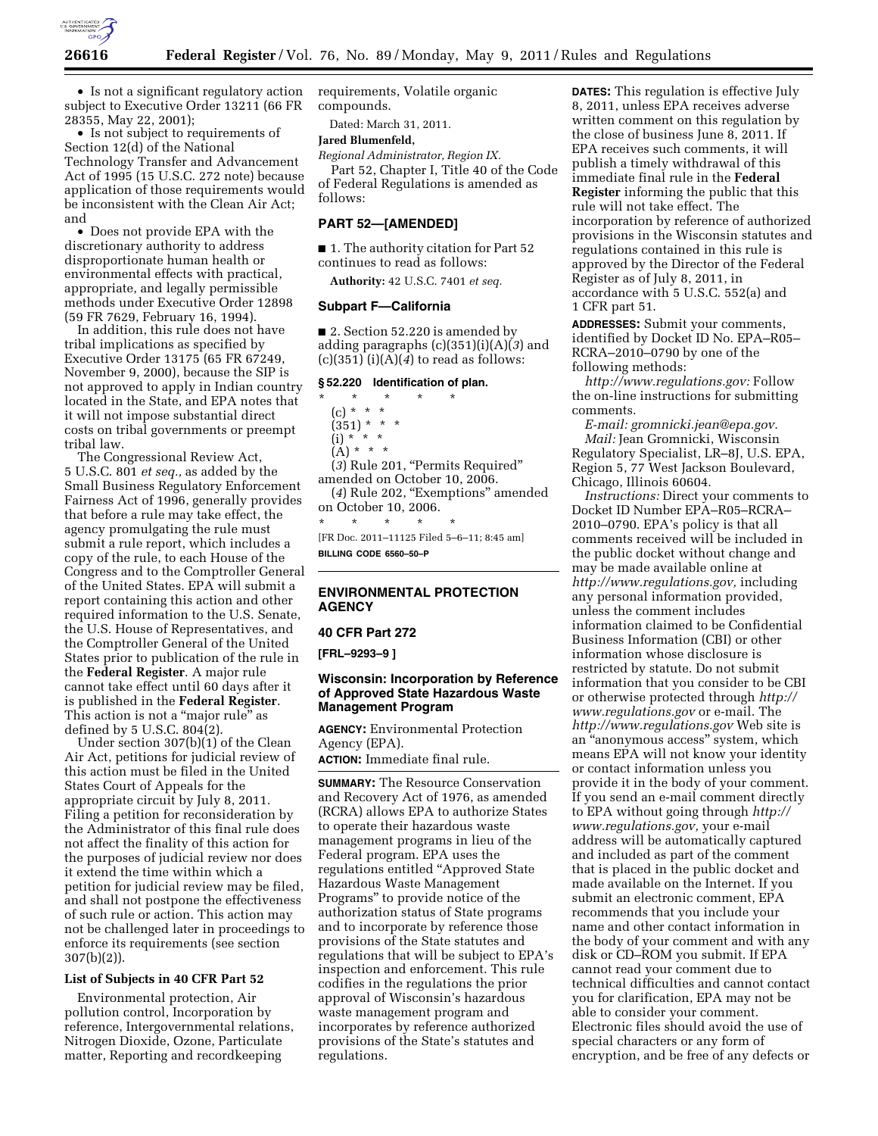

• Is not a significant regulatory action subject to Executive Order 13211 (66 FR 28355, May 22, 2001);

• Is not subject to requirements of Section 12(d) of the National Technology Transfer and Advancement Act of 1995 (15 U.S.C. 272 note) because application of those requirements would be inconsistent with the Clean Air Act; and

• Does not provide EPA with the discretionary authority to address disproportionate human health or environmental effects with practical, appropriate, and legally permissible methods under Executive Order 12898 (59 FR 7629, February 16, 1994).

In addition, this rule does not have tribal implications as specified by Executive Order 13175 (65 FR 67249, November 9, 2000), because the SIP is not approved to apply in Indian country located in the State, and EPA notes that it will not impose substantial direct costs on tribal governments or preempt tribal law.

The Congressional Review Act, 5 U.S.C. 801 *et seq.,* as added by the Small Business Regulatory Enforcement Fairness Act of 1996, generally provides that before a rule may take effect, the agency promulgating the rule must submit a rule report, which includes a copy of the rule, to each House of the Congress and to the Comptroller General of the United States. EPA will submit a report containing this action and other required information to the U.S. Senate, the U.S. House of Representatives, and the Comptroller General of the United States prior to publication of the rule in the **Federal Register**. A major rule cannot take effect until 60 days after it is published in the **Federal Register**. This action is not a "major rule" as defined by 5 U.S.C. 804(2).

Under section 307(b)(1) of the Clean Air Act, petitions for judicial review of this action must be filed in the United States Court of Appeals for the appropriate circuit by July 8, 2011. Filing a petition for reconsideration by the Administrator of this final rule does not affect the finality of this action for the purposes of judicial review nor does it extend the time within which a petition for judicial review may be filed, and shall not postpone the effectiveness of such rule or action. This action may not be challenged later in proceedings to enforce its requirements (see section 307(b)(2)).

### **List of Subjects in 40 CFR Part 52**

Environmental protection, Air pollution control, Incorporation by reference, Intergovernmental relations, Nitrogen Dioxide, Ozone, Particulate matter, Reporting and recordkeeping

requirements, Volatile organic compounds.

Dated: March 31, 2011.

# **Jared Blumenfeld,**

*Regional Administrator, Region IX.*  Part 52, Chapter I, Title 40 of the Code of Federal Regulations is amended as follows:

#### **PART 52—[AMENDED]**

■ 1. The authority citation for Part 52 continues to read as follows:

**Authority:** 42 U.S.C. 7401 *et seq.* 

# **Subpart F—California**

■ 2. Section 52.220 is amended by adding paragraphs (c)(351)(i)(A)(*3*) and (c)(351) (i)(A)(*4*) to read as follows:

#### **§ 52.220 Identification of plan.**

\* \* \* \* \* (c) \* \* \*  $(351) * * * *$  $(i) * ' * *$  $(A) * * * *$ (*3*) Rule 201, ''Permits Required'' amended on October 10, 2006. (4) Rule 202, "Exemptions" amended on October 10, 2006. \* \* \* \* \* [FR Doc. 2011–11125 Filed 5–6–11; 8:45 am]

**BILLING CODE 6560–50–P** 

# **ENVIRONMENTAL PROTECTION AGENCY**

### **40 CFR Part 272**

**[FRL–9293–9 ]** 

## **Wisconsin: Incorporation by Reference of Approved State Hazardous Waste Management Program**

**AGENCY:** Environmental Protection Agency (EPA).

**ACTION:** Immediate final rule.

**SUMMARY:** The Resource Conservation and Recovery Act of 1976, as amended (RCRA) allows EPA to authorize States to operate their hazardous waste management programs in lieu of the Federal program. EPA uses the regulations entitled ''Approved State Hazardous Waste Management Programs'' to provide notice of the authorization status of State programs and to incorporate by reference those provisions of the State statutes and regulations that will be subject to EPA's inspection and enforcement. This rule codifies in the regulations the prior approval of Wisconsin's hazardous waste management program and incorporates by reference authorized provisions of the State's statutes and regulations.

**DATES:** This regulation is effective July 8, 2011, unless EPA receives adverse written comment on this regulation by the close of business June 8, 2011. If EPA receives such comments, it will publish a timely withdrawal of this immediate final rule in the **Federal Register** informing the public that this rule will not take effect. The incorporation by reference of authorized provisions in the Wisconsin statutes and regulations contained in this rule is approved by the Director of the Federal Register as of July 8, 2011, in accordance with 5 U.S.C. 552(a) and 1 CFR part 51.

**ADDRESSES:** Submit your comments, identified by Docket ID No. EPA–R05– RCRA–2010–0790 by one of the following methods:

*[http://www.regulations.gov:](http://www.regulations.gov)* Follow the on-line instructions for submitting comments.

*E-mail: [gromnicki.jean@epa.gov.](mailto:gromnicki.jean@epa.gov)  Mail:* Jean Gromnicki, Wisconsin Regulatory Specialist, LR–8J, U.S. EPA, Region 5, 77 West Jackson Boulevard, Chicago, Illinois 60604.

*Instructions:* Direct your comments to Docket ID Number EPA–R05–RCRA– 2010–0790. EPA's policy is that all comments received will be included in the public docket without change and may be made available online at *[http://www.regulations.gov,](http://www.regulations.gov)* including any personal information provided, unless the comment includes information claimed to be Confidential Business Information (CBI) or other information whose disclosure is restricted by statute. Do not submit information that you consider to be CBI or otherwise protected through *[http://](http://www.regulations.gov)  [www.regulations.gov](http://www.regulations.gov)* or e-mail. The *<http://www.regulations.gov>* Web site is an ''anonymous access'' system, which means EPA will not know your identity or contact information unless you provide it in the body of your comment. If you send an e-mail comment directly to EPA without going through *[http://](http://www.regulations.gov) [www.regulations.gov,](http://www.regulations.gov)* your e-mail address will be automatically captured and included as part of the comment that is placed in the public docket and made available on the Internet. If you submit an electronic comment, EPA recommends that you include your name and other contact information in the body of your comment and with any disk or CD–ROM you submit. If EPA cannot read your comment due to technical difficulties and cannot contact you for clarification, EPA may not be able to consider your comment. Electronic files should avoid the use of special characters or any form of encryption, and be free of any defects or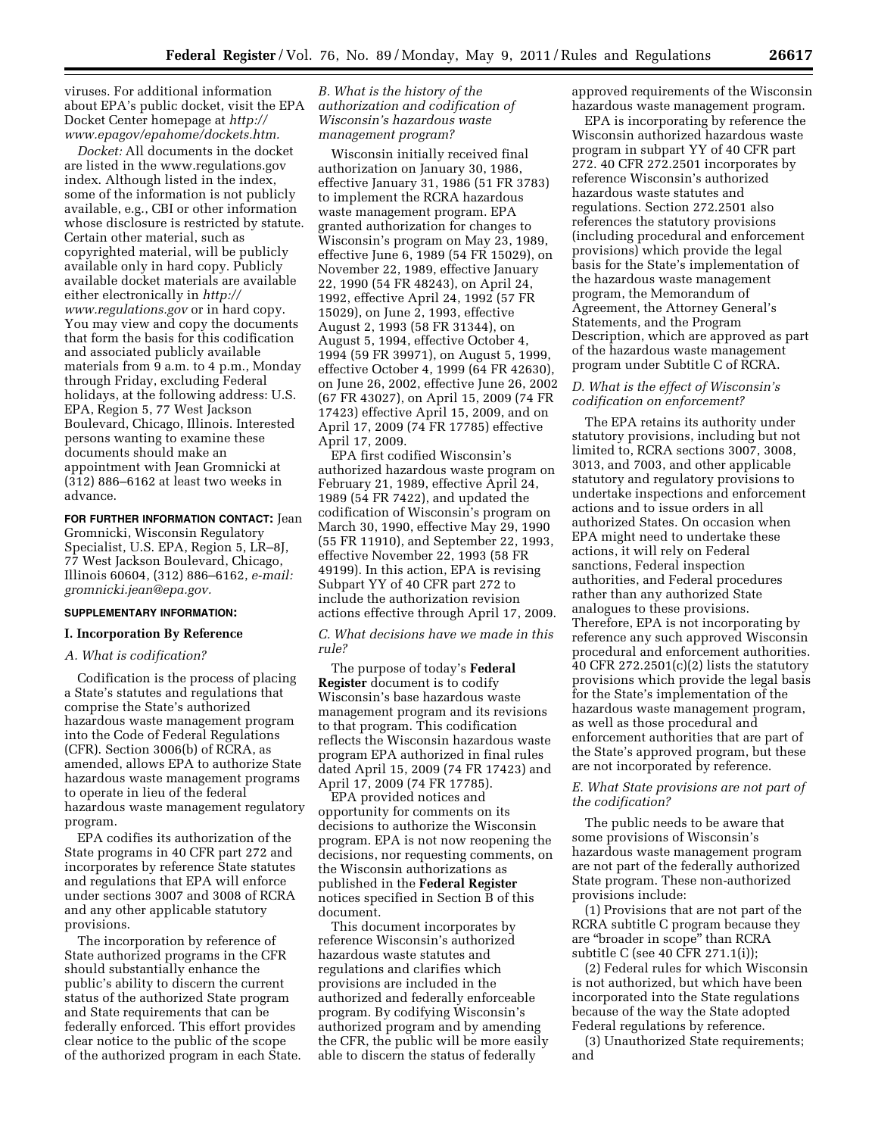viruses. For additional information about EPA's public docket, visit the EPA Docket Center homepage at *[http://](http://www.epagov/epahome/dockets.htm) [www.epagov/epahome/dockets.htm.](http://www.epagov/epahome/dockets.htm)* 

*Docket:* All documents in the docket are listed in the [www.regulations.gov](http://www.regulations.gov)  index. Although listed in the index, some of the information is not publicly available, e.g., CBI or other information whose disclosure is restricted by statute. Certain other material, such as copyrighted material, will be publicly available only in hard copy. Publicly available docket materials are available either electronically in *[http://](http://www.regulations.gov)  [www.regulations.gov](http://www.regulations.gov)* or in hard copy. You may view and copy the documents that form the basis for this codification and associated publicly available materials from 9 a.m. to 4 p.m., Monday through Friday, excluding Federal holidays, at the following address: U.S. EPA, Region 5, 77 West Jackson Boulevard, Chicago, Illinois. Interested persons wanting to examine these documents should make an appointment with Jean Gromnicki at (312) 886–6162 at least two weeks in advance.

**FOR FURTHER INFORMATION CONTACT:** Jean Gromnicki, Wisconsin Regulatory Specialist, U.S. EPA, Region 5, LR–8J, 77 West Jackson Boulevard, Chicago, Illinois 60604, (312) 886–6162, *e-mail: [gromnicki.jean@epa.gov.](mailto:gromnicki.jean@epa.gov)* 

### **SUPPLEMENTARY INFORMATION:**

#### **I. Incorporation By Reference**

## *A. What is codification?*

Codification is the process of placing a State's statutes and regulations that comprise the State's authorized hazardous waste management program into the Code of Federal Regulations (CFR). Section 3006(b) of RCRA, as amended, allows EPA to authorize State hazardous waste management programs to operate in lieu of the federal hazardous waste management regulatory program.

EPA codifies its authorization of the State programs in 40 CFR part 272 and incorporates by reference State statutes and regulations that EPA will enforce under sections 3007 and 3008 of RCRA and any other applicable statutory provisions.

The incorporation by reference of State authorized programs in the CFR should substantially enhance the public's ability to discern the current status of the authorized State program and State requirements that can be federally enforced. This effort provides clear notice to the public of the scope of the authorized program in each State.

## *B. What is the history of the authorization and codification of Wisconsin's hazardous waste management program?*

Wisconsin initially received final authorization on January 30, 1986, effective January 31, 1986 (51 FR 3783) to implement the RCRA hazardous waste management program. EPA granted authorization for changes to Wisconsin's program on May 23, 1989, effective June 6, 1989 (54 FR 15029), on November 22, 1989, effective January 22, 1990 (54 FR 48243), on April 24, 1992, effective April 24, 1992 (57 FR 15029), on June 2, 1993, effective August 2, 1993 (58 FR 31344), on August 5, 1994, effective October 4, 1994 (59 FR 39971), on August 5, 1999, effective October 4, 1999 (64 FR 42630), on June 26, 2002, effective June 26, 2002 (67 FR 43027), on April 15, 2009 (74 FR 17423) effective April 15, 2009, and on April 17, 2009 (74 FR 17785) effective April 17, 2009.

EPA first codified Wisconsin's authorized hazardous waste program on February 21, 1989, effective April 24, 1989 (54 FR 7422), and updated the codification of Wisconsin's program on March 30, 1990, effective May 29, 1990 (55 FR 11910), and September 22, 1993, effective November 22, 1993 (58 FR 49199). In this action, EPA is revising Subpart YY of 40 CFR part 272 to include the authorization revision actions effective through April 17, 2009.

#### *C. What decisions have we made in this rule?*

The purpose of today's **Federal Register** document is to codify Wisconsin's base hazardous waste management program and its revisions to that program. This codification reflects the Wisconsin hazardous waste program EPA authorized in final rules dated April 15, 2009 (74 FR 17423) and April 17, 2009 (74 FR 17785).

EPA provided notices and opportunity for comments on its decisions to authorize the Wisconsin program. EPA is not now reopening the decisions, nor requesting comments, on the Wisconsin authorizations as published in the **Federal Register**  notices specified in Section B of this document.

This document incorporates by reference Wisconsin's authorized hazardous waste statutes and regulations and clarifies which provisions are included in the authorized and federally enforceable program. By codifying Wisconsin's authorized program and by amending the CFR, the public will be more easily able to discern the status of federally

approved requirements of the Wisconsin hazardous waste management program.

EPA is incorporating by reference the Wisconsin authorized hazardous waste program in subpart YY of 40 CFR part 272. 40 CFR 272.2501 incorporates by reference Wisconsin's authorized hazardous waste statutes and regulations. Section 272.2501 also references the statutory provisions (including procedural and enforcement provisions) which provide the legal basis for the State's implementation of the hazardous waste management program, the Memorandum of Agreement, the Attorney General's Statements, and the Program Description, which are approved as part of the hazardous waste management program under Subtitle C of RCRA.

### *D. What is the effect of Wisconsin's codification on enforcement?*

The EPA retains its authority under statutory provisions, including but not limited to, RCRA sections 3007, 3008, 3013, and 7003, and other applicable statutory and regulatory provisions to undertake inspections and enforcement actions and to issue orders in all authorized States. On occasion when EPA might need to undertake these actions, it will rely on Federal sanctions, Federal inspection authorities, and Federal procedures rather than any authorized State analogues to these provisions. Therefore, EPA is not incorporating by reference any such approved Wisconsin procedural and enforcement authorities. 40 CFR 272.2501 $(c)(2)$  lists the statutory provisions which provide the legal basis for the State's implementation of the hazardous waste management program, as well as those procedural and enforcement authorities that are part of the State's approved program, but these are not incorporated by reference.

## *E. What State provisions are not part of the codification?*

The public needs to be aware that some provisions of Wisconsin's hazardous waste management program are not part of the federally authorized State program. These non-authorized provisions include:

(1) Provisions that are not part of the RCRA subtitle C program because they are ''broader in scope'' than RCRA subtitle C (see 40 CFR 271.1(i));

(2) Federal rules for which Wisconsin is not authorized, but which have been incorporated into the State regulations because of the way the State adopted Federal regulations by reference.

(3) Unauthorized State requirements; and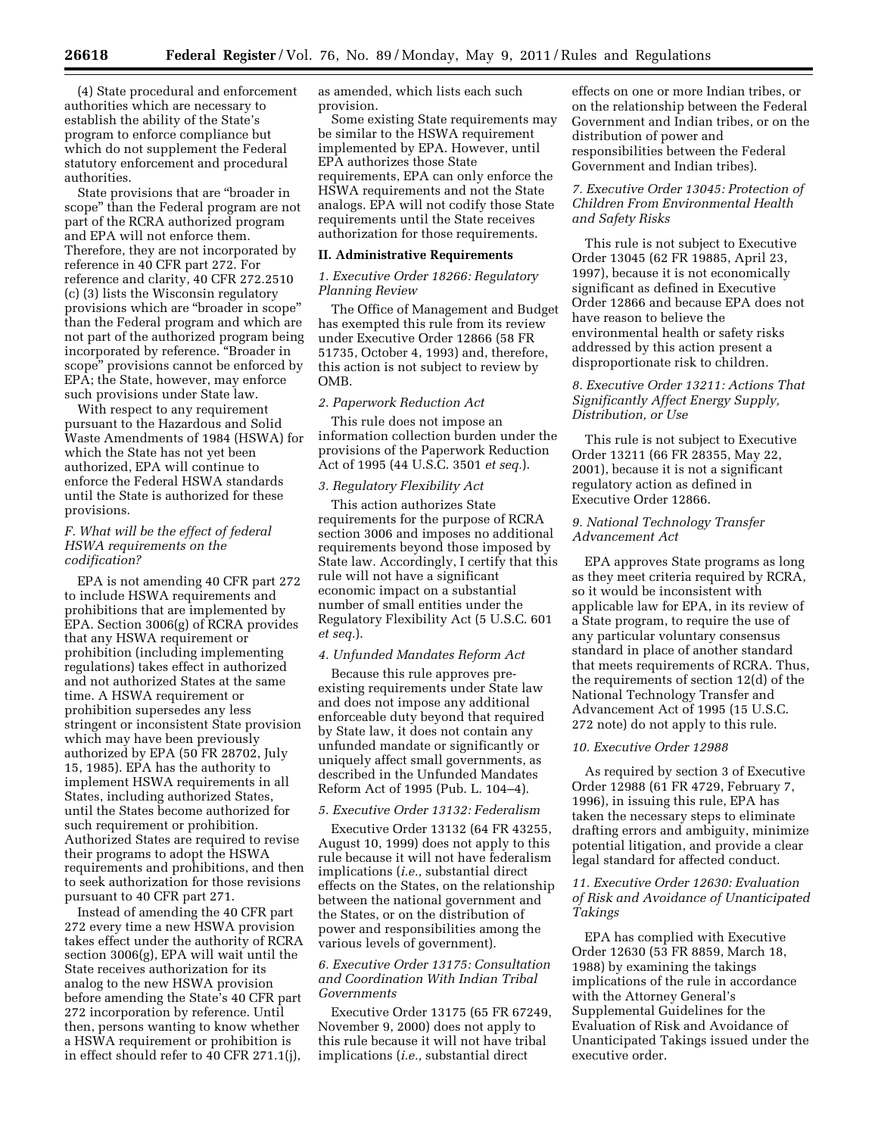(4) State procedural and enforcement authorities which are necessary to establish the ability of the State's program to enforce compliance but which do not supplement the Federal statutory enforcement and procedural authorities.

State provisions that are ''broader in scope'' than the Federal program are not part of the RCRA authorized program and EPA will not enforce them. Therefore, they are not incorporated by reference in 40 CFR part 272. For reference and clarity, 40 CFR 272.2510 (c) (3) lists the Wisconsin regulatory provisions which are ''broader in scope'' than the Federal program and which are not part of the authorized program being incorporated by reference. ''Broader in scope'' provisions cannot be enforced by EPA; the State, however, may enforce such provisions under State law.

With respect to any requirement pursuant to the Hazardous and Solid Waste Amendments of 1984 (HSWA) for which the State has not yet been authorized, EPA will continue to enforce the Federal HSWA standards until the State is authorized for these provisions.

# *F. What will be the effect of federal HSWA requirements on the codification?*

EPA is not amending 40 CFR part 272 to include HSWA requirements and prohibitions that are implemented by EPA. Section 3006(g) of RCRA provides that any HSWA requirement or prohibition (including implementing regulations) takes effect in authorized and not authorized States at the same time. A HSWA requirement or prohibition supersedes any less stringent or inconsistent State provision which may have been previously authorized by EPA (50 FR 28702, July 15, 1985). EPA has the authority to implement HSWA requirements in all States, including authorized States, until the States become authorized for such requirement or prohibition. Authorized States are required to revise their programs to adopt the HSWA requirements and prohibitions, and then to seek authorization for those revisions pursuant to 40 CFR part 271.

Instead of amending the 40 CFR part 272 every time a new HSWA provision takes effect under the authority of RCRA section 3006(g), EPA will wait until the State receives authorization for its analog to the new HSWA provision before amending the State's 40 CFR part 272 incorporation by reference. Until then, persons wanting to know whether a HSWA requirement or prohibition is in effect should refer to 40 CFR 271.1(j),

as amended, which lists each such provision.

Some existing State requirements may be similar to the HSWA requirement implemented by EPA. However, until EPA authorizes those State requirements, EPA can only enforce the HSWA requirements and not the State analogs. EPA will not codify those State requirements until the State receives authorization for those requirements.

#### **II. Administrative Requirements**

## *1. Executive Order 18266: Regulatory Planning Review*

The Office of Management and Budget has exempted this rule from its review under Executive Order 12866 (58 FR 51735, October 4, 1993) and, therefore, this action is not subject to review by OMB.

## *2. Paperwork Reduction Act*

This rule does not impose an information collection burden under the provisions of the Paperwork Reduction Act of 1995 (44 U.S.C. 3501 *et seq.*).

### *3. Regulatory Flexibility Act*

This action authorizes State requirements for the purpose of RCRA section 3006 and imposes no additional requirements beyond those imposed by State law. Accordingly, I certify that this rule will not have a significant economic impact on a substantial number of small entities under the Regulatory Flexibility Act (5 U.S.C. 601 *et seq.*).

#### *4. Unfunded Mandates Reform Act*

Because this rule approves preexisting requirements under State law and does not impose any additional enforceable duty beyond that required by State law, it does not contain any unfunded mandate or significantly or uniquely affect small governments, as described in the Unfunded Mandates Reform Act of 1995 (Pub. L. 104–4).

### *5. Executive Order 13132: Federalism*

Executive Order 13132 (64 FR 43255, August 10, 1999) does not apply to this rule because it will not have federalism implications (*i.e.,* substantial direct effects on the States, on the relationship between the national government and the States, or on the distribution of power and responsibilities among the various levels of government).

## *6. Executive Order 13175: Consultation and Coordination With Indian Tribal Governments*

Executive Order 13175 (65 FR 67249, November 9, 2000) does not apply to this rule because it will not have tribal implications (*i.e.,* substantial direct

effects on one or more Indian tribes, or on the relationship between the Federal Government and Indian tribes, or on the distribution of power and responsibilities between the Federal Government and Indian tribes).

# *7. Executive Order 13045: Protection of Children From Environmental Health and Safety Risks*

This rule is not subject to Executive Order 13045 (62 FR 19885, April 23, 1997), because it is not economically significant as defined in Executive Order 12866 and because EPA does not have reason to believe the environmental health or safety risks addressed by this action present a disproportionate risk to children.

# *8. Executive Order 13211: Actions That Significantly Affect Energy Supply, Distribution, or Use*

This rule is not subject to Executive Order 13211 (66 FR 28355, May 22, 2001), because it is not a significant regulatory action as defined in Executive Order 12866.

## *9. National Technology Transfer Advancement Act*

EPA approves State programs as long as they meet criteria required by RCRA, so it would be inconsistent with applicable law for EPA, in its review of a State program, to require the use of any particular voluntary consensus standard in place of another standard that meets requirements of RCRA. Thus, the requirements of section 12(d) of the National Technology Transfer and Advancement Act of 1995 (15 U.S.C. 272 note) do not apply to this rule.

#### *10. Executive Order 12988*

As required by section 3 of Executive Order 12988 (61 FR 4729, February 7, 1996), in issuing this rule, EPA has taken the necessary steps to eliminate drafting errors and ambiguity, minimize potential litigation, and provide a clear legal standard for affected conduct.

# *11. Executive Order 12630: Evaluation of Risk and Avoidance of Unanticipated Takings*

EPA has complied with Executive Order 12630 (53 FR 8859, March 18, 1988) by examining the takings implications of the rule in accordance with the Attorney General's Supplemental Guidelines for the Evaluation of Risk and Avoidance of Unanticipated Takings issued under the executive order.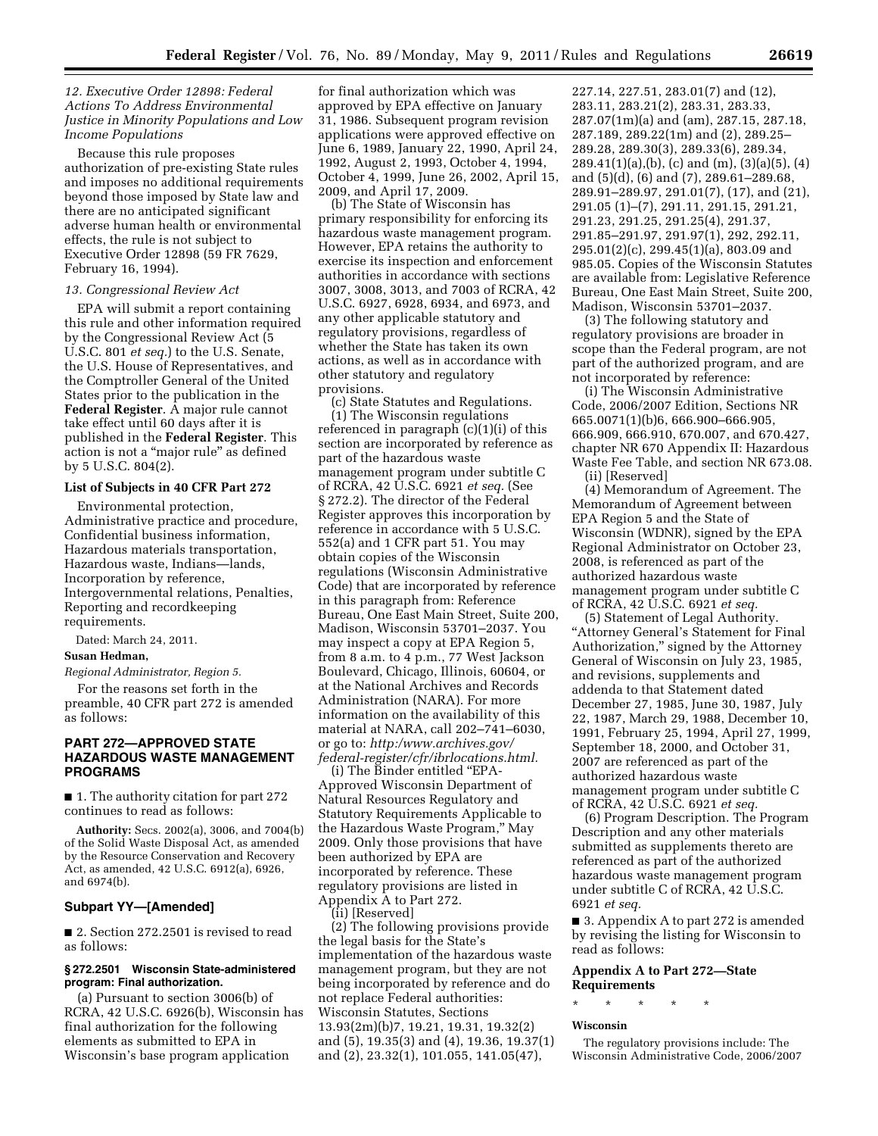### *12. Executive Order 12898: Federal Actions To Address Environmental Justice in Minority Populations and Low Income Populations*

Because this rule proposes authorization of pre-existing State rules and imposes no additional requirements beyond those imposed by State law and there are no anticipated significant adverse human health or environmental effects, the rule is not subject to Executive Order 12898 (59 FR 7629, February 16, 1994).

#### *13. Congressional Review Act*

EPA will submit a report containing this rule and other information required by the Congressional Review Act (5 U.S.C. 801 *et seq.*) to the U.S. Senate, the U.S. House of Representatives, and the Comptroller General of the United States prior to the publication in the **Federal Register**. A major rule cannot take effect until 60 days after it is published in the **Federal Register**. This action is not a ''major rule'' as defined by 5 U.S.C. 804(2).

### **List of Subjects in 40 CFR Part 272**

Environmental protection, Administrative practice and procedure, Confidential business information, Hazardous materials transportation, Hazardous waste, Indians—lands, Incorporation by reference, Intergovernmental relations, Penalties, Reporting and recordkeeping requirements.

Dated: March 24, 2011.

# **Susan Hedman,**

*Regional Administrator, Region 5.* 

For the reasons set forth in the preamble, 40 CFR part 272 is amended as follows:

# **PART 272—APPROVED STATE HAZARDOUS WASTE MANAGEMENT PROGRAMS**

■ 1. The authority citation for part 272 continues to read as follows:

**Authority:** Secs. 2002(a), 3006, and 7004(b) of the Solid Waste Disposal Act, as amended by the Resource Conservation and Recovery Act, as amended, 42 U.S.C. 6912(a), 6926, and 6974(b).

#### **Subpart YY—[Amended]**

■ 2. Section 272.2501 is revised to read as follows:

### **§ 272.2501 Wisconsin State-administered program: Final authorization.**

(a) Pursuant to section 3006(b) of RCRA, 42 U.S.C. 6926(b), Wisconsin has final authorization for the following elements as submitted to EPA in Wisconsin's base program application

for final authorization which was approved by EPA effective on January 31, 1986. Subsequent program revision applications were approved effective on June 6, 1989, January 22, 1990, April 24, 1992, August 2, 1993, October 4, 1994, October 4, 1999, June 26, 2002, April 15, 2009, and April 17, 2009.

(b) The State of Wisconsin has primary responsibility for enforcing its hazardous waste management program. However, EPA retains the authority to exercise its inspection and enforcement authorities in accordance with sections 3007, 3008, 3013, and 7003 of RCRA, 42 U.S.C. 6927, 6928, 6934, and 6973, and any other applicable statutory and regulatory provisions, regardless of whether the State has taken its own actions, as well as in accordance with other statutory and regulatory provisions.

(c) State Statutes and Regulations. (1) The Wisconsin regulations referenced in paragraph (c)(1)(i) of this section are incorporated by reference as part of the hazardous waste management program under subtitle C of RCRA, 42 U.S.C. 6921 *et seq.* (See § 272.2). The director of the Federal Register approves this incorporation by reference in accordance with 5 U.S.C. 552(a) and 1 CFR part 51. You may obtain copies of the Wisconsin regulations (Wisconsin Administrative Code) that are incorporated by reference in this paragraph from: Reference Bureau, One East Main Street, Suite 200, Madison, Wisconsin 53701–2037. You may inspect a copy at EPA Region 5, from 8 a.m. to 4 p.m., 77 West Jackson Boulevard, Chicago, Illinois, 60604, or at the National Archives and Records Administration (NARA). For more information on the availability of this material at NARA, call 202–741–6030, or go to: *[http:/www.archives.gov/](http:/www.archives.gov/federal-register/cfr/ibrlocations.html)  [federal-register/cfr/ibrlocations.html.](http:/www.archives.gov/federal-register/cfr/ibrlocations.html)* 

(i) The Binder entitled ''EPA-Approved Wisconsin Department of Natural Resources Regulatory and Statutory Requirements Applicable to the Hazardous Waste Program,'' May 2009. Only those provisions that have been authorized by EPA are incorporated by reference. These regulatory provisions are listed in Appendix A to Part 272.

(ii) [Reserved]

(2) The following provisions provide the legal basis for the State's implementation of the hazardous waste management program, but they are not being incorporated by reference and do not replace Federal authorities: Wisconsin Statutes, Sections 13.93(2m)(b)7, 19.21, 19.31, 19.32(2) and (5), 19.35(3) and (4), 19.36, 19.37(1) and (2), 23.32(1), 101.055, 141.05(47),

227.14, 227.51, 283.01(7) and (12), 283.11, 283.21(2), 283.31, 283.33, 287.07(1m)(a) and (am), 287.15, 287.18, 287.189, 289.22(1m) and (2), 289.25– 289.28, 289.30(3), 289.33(6), 289.34, 289.41(1)(a),(b), (c) and (m), (3)(a)(5), (4) and (5)(d), (6) and (7), 289.61–289.68, 289.91–289.97, 291.01(7), (17), and (21), 291.05 (1)–(7), 291.11, 291.15, 291.21, 291.23, 291.25, 291.25(4), 291.37, 291.85–291.97, 291.97(1), 292, 292.11, 295.01(2)(c), 299.45(1)(a), 803.09 and 985.05. Copies of the Wisconsin Statutes are available from: Legislative Reference Bureau, One East Main Street, Suite 200, Madison, Wisconsin 53701–2037.

(3) The following statutory and regulatory provisions are broader in scope than the Federal program, are not part of the authorized program, and are not incorporated by reference:

(i) The Wisconsin Administrative Code, 2006/2007 Edition, Sections NR 665.0071(1)(b)6, 666.900–666.905, 666.909, 666.910, 670.007, and 670.427, chapter NR 670 Appendix II: Hazardous Waste Fee Table, and section NR 673.08.

(ii) [Reserved]

(4) Memorandum of Agreement. The Memorandum of Agreement between EPA Region 5 and the State of Wisconsin (WDNR), signed by the EPA Regional Administrator on October 23, 2008, is referenced as part of the authorized hazardous waste management program under subtitle C of RCRA, 42 U.S.C. 6921 *et seq.* 

(5) Statement of Legal Authority. ''Attorney General's Statement for Final Authorization,'' signed by the Attorney General of Wisconsin on July 23, 1985, and revisions, supplements and addenda to that Statement dated December 27, 1985, June 30, 1987, July 22, 1987, March 29, 1988, December 10, 1991, February 25, 1994, April 27, 1999, September 18, 2000, and October 31, 2007 are referenced as part of the authorized hazardous waste management program under subtitle C of RCRA, 42 U.S.C. 6921 *et seq.* 

(6) Program Description. The Program Description and any other materials submitted as supplements thereto are referenced as part of the authorized hazardous waste management program under subtitle C of RCRA, 42 U.S.C. 6921 *et seq.* 

■ 3. Appendix A to part 272 is amended by revising the listing for Wisconsin to read as follows:

#### **Appendix A to Part 272—State Requirements**

\* \* \* \* \*

#### **Wisconsin**

The regulatory provisions include: The Wisconsin Administrative Code, 2006/2007